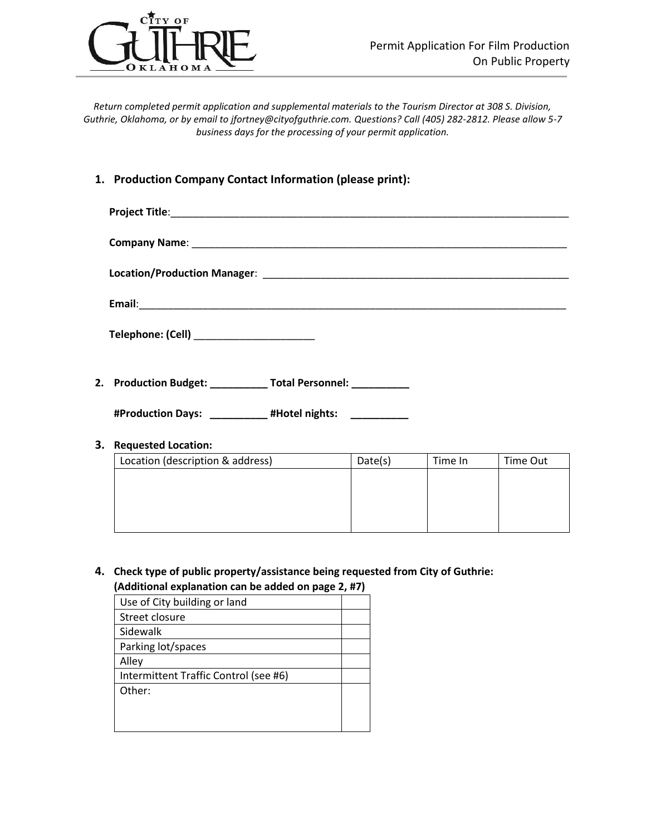

*Return completed permit application and supplemental materials to the Tourism Director at 308 S. Division, Guthrie, Oklahoma, or by email to jfortney@cityofguthrie.com. Questions? Call (405) 282-2812. Please allow 5-7 business days for the processing of your permit application.*

#### **1. Production Company Contact Information (please print):**

| Telephone: (Cell) _______________________               |
|---------------------------------------------------------|
| 2. Production Budget: Total Personnel: Total Personnel: |

**#Production Days: \_\_\_\_\_\_\_\_\_\_ #Hotel nights: \_\_\_\_\_\_\_\_\_\_**

#### **3. Requested Location:**

| Location (description & address) | Date(s) | Time In | Time Out |
|----------------------------------|---------|---------|----------|
|                                  |         |         |          |
|                                  |         |         |          |
|                                  |         |         |          |
|                                  |         |         |          |

**4. Check type of public property/assistance being requested from City of Guthrie: (Additional explanation can be added on page 2, #7)**

Use of City building or land Street closure Sidewalk Parking lot/spaces Alley Intermittent Traffic Control (see #6) Other: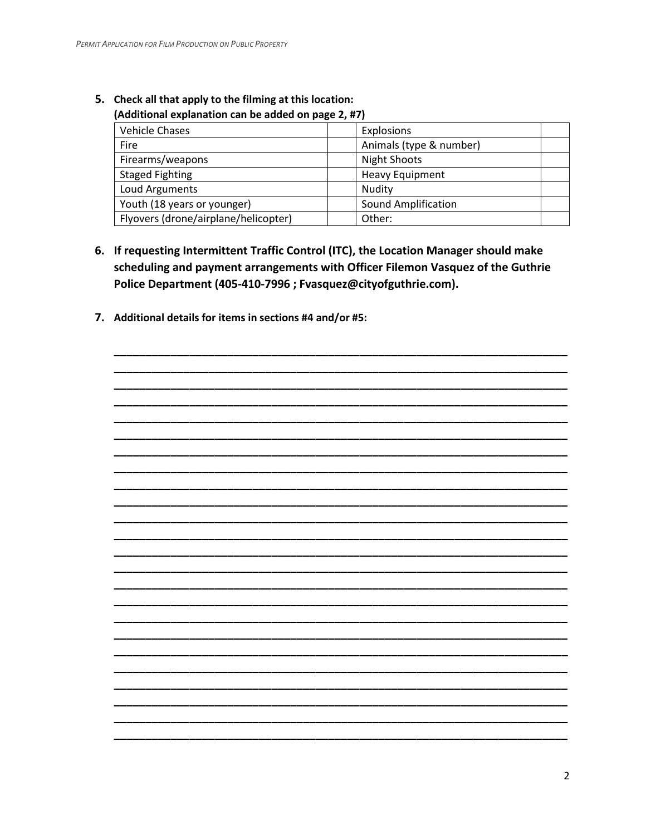| , AUGHTONIGH CAPIGNOUGH CGN DC GUUCU ON POKC 4, 117 J |                            |  |  |
|-------------------------------------------------------|----------------------------|--|--|
| Vehicle Chases                                        | <b>Explosions</b>          |  |  |
| Fire                                                  | Animals (type & number)    |  |  |
| Firearms/weapons                                      | <b>Night Shoots</b>        |  |  |
| <b>Staged Fighting</b>                                | <b>Heavy Equipment</b>     |  |  |
| Loud Arguments                                        | Nudity                     |  |  |
| Youth (18 years or younger)                           | <b>Sound Amplification</b> |  |  |
| Flyovers (drone/airplane/helicopter)                  | Other:                     |  |  |

# 5. Check all that apply to the filming at this location:

#### (Additional explanation can be added on page 2. #7)

- 6. If requesting Intermittent Traffic Control (ITC), the Location Manager should make scheduling and payment arrangements with Officer Filemon Vasquez of the Guthrie Police Department (405-410-7996 ; Fvasquez@cityofguthrie.com).
- 7. Additional details for items in sections #4 and/or #5: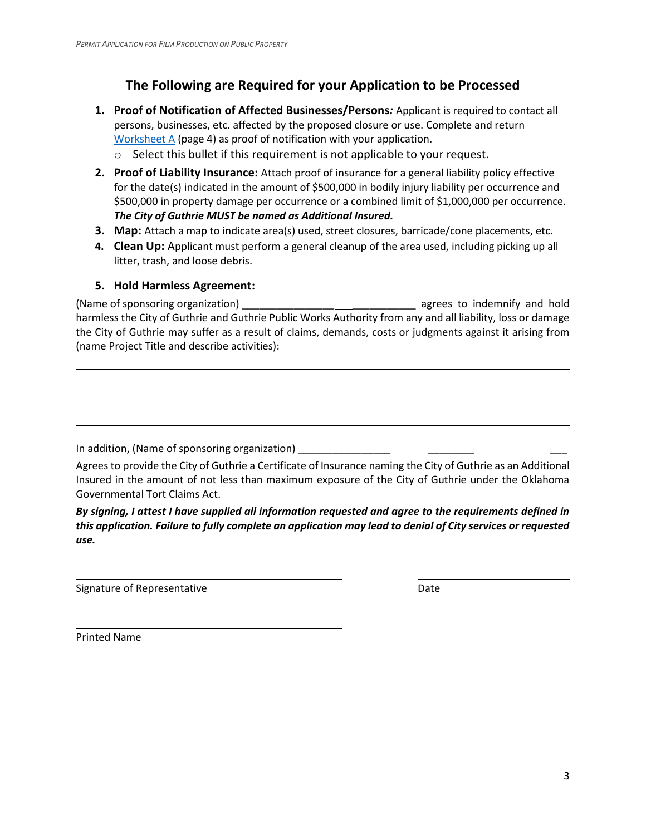## **The Following are Required for your Application to be Processed**

- **1. Proof of Notification of Affected Businesses/Persons***:* Applicant is required to contact all persons, businesses, etc. affected by the proposed closure or use. Complete and return [Worksheet A](#page-3-0) (page 4) as proof of notification with your application.
	- o Select this bullet if this requirement is not applicable to your request.
- **2. Proof of Liability Insurance:** Attach proof of insurance for a general liability policy effective for the date(s) indicated in the amount of \$500,000 in bodily injury liability per occurrence and \$500,000 in property damage per occurrence or a combined limit of \$1,000,000 per occurrence. *The City of Guthrie MUST be named as Additional Insured.*
- **3. Map:** Attach a map to indicate area(s) used, street closures, barricade/cone placements, etc.
- **4. Clean Up:** Applicant must perform a general cleanup of the area used, including picking up all litter, trash, and loose debris.

#### **5. Hold Harmless Agreement:**

(Name of sponsoring organization) \_\_\_\_\_\_\_\_\_\_\_\_\_\_\_\_ \_\_\_\_\_\_\_\_\_\_\_ agrees to indemnify and hold harmless the City of Guthrie and Guthrie Public Works Authority from any and all liability, loss or damage the City of Guthrie may suffer as a result of claims, demands, costs or judgments against it arising from (name Project Title and describe activities):

In addition, (Name of sponsoring organization) **with any contract of the set of second-**

Agrees to provide the City of Guthrie a Certificate of Insurance naming the City of Guthrie as an Additional Insured in the amount of not less than maximum exposure of the City of Guthrie under the Oklahoma Governmental Tort Claims Act.

*By signing, I attest I have supplied all information requested and agree to the requirements defined in this application. Failure to fully complete an application may lead to denial of City services or requested use.*

Signature of Representative **Date** Date Date

Printed Name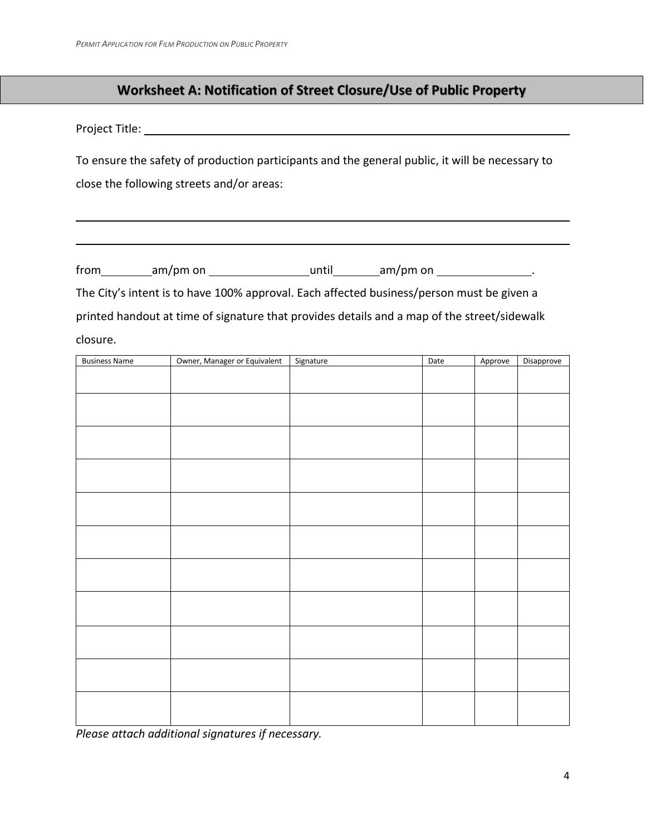### **Worksheet A: Notification of Street Closure/Use of Public Property**

<span id="page-3-0"></span>Project Title:

To ensure the safety of production participants and the general public, it will be necessary to close the following streets and/or areas:

 $from$   $am/pm$  on  $\_\_\_\_\_\_\$  until  $am/pm$  on  $\_\_\_\_\_\_\_\_\_\_\_\_\_\_\_\_\_\_\_\_\_$ .

The City's intent is to have 100% approval. Each affected business/person must be given a printed handout at time of signature that provides details and a map of the street/sidewalk closure.

| <b>Business Name</b> | Owner, Manager or Equivalent | Signature | Date | Approve | Disapprove |
|----------------------|------------------------------|-----------|------|---------|------------|
|                      |                              |           |      |         |            |
|                      |                              |           |      |         |            |
|                      |                              |           |      |         |            |
|                      |                              |           |      |         |            |
|                      |                              |           |      |         |            |
|                      |                              |           |      |         |            |
|                      |                              |           |      |         |            |
|                      |                              |           |      |         |            |
|                      |                              |           |      |         |            |
|                      |                              |           |      |         |            |
|                      |                              |           |      |         |            |
|                      |                              |           |      |         |            |
|                      |                              |           |      |         |            |
|                      |                              |           |      |         |            |
|                      |                              |           |      |         |            |
|                      |                              |           |      |         |            |
|                      |                              |           |      |         |            |
|                      |                              |           |      |         |            |
|                      |                              |           |      |         |            |
|                      |                              |           |      |         |            |
|                      |                              |           |      |         |            |
|                      |                              |           |      |         |            |
|                      |                              |           |      |         |            |

*Please attach additional signatures if necessary.*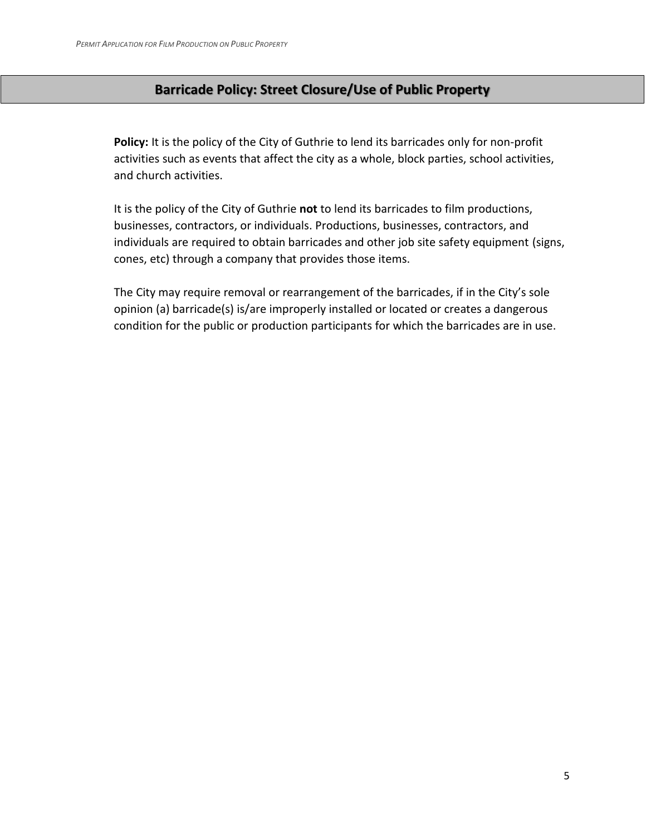## **Barricade Policy: Street Closure/Use of Public Property**

**Policy:** It is the policy of the City of Guthrie to lend its barricades only for non-profit activities such as events that affect the city as a whole, block parties, school activities, and church activities.

It is the policy of the City of Guthrie **not** to lend its barricades to film productions, businesses, contractors, or individuals. Productions, businesses, contractors, and individuals are required to obtain barricades and other job site safety equipment (signs, cones, etc) through a company that provides those items.

The City may require removal or rearrangement of the barricades, if in the City's sole opinion (a) barricade(s) is/are improperly installed or located or creates a dangerous condition for the public or production participants for which the barricades are in use.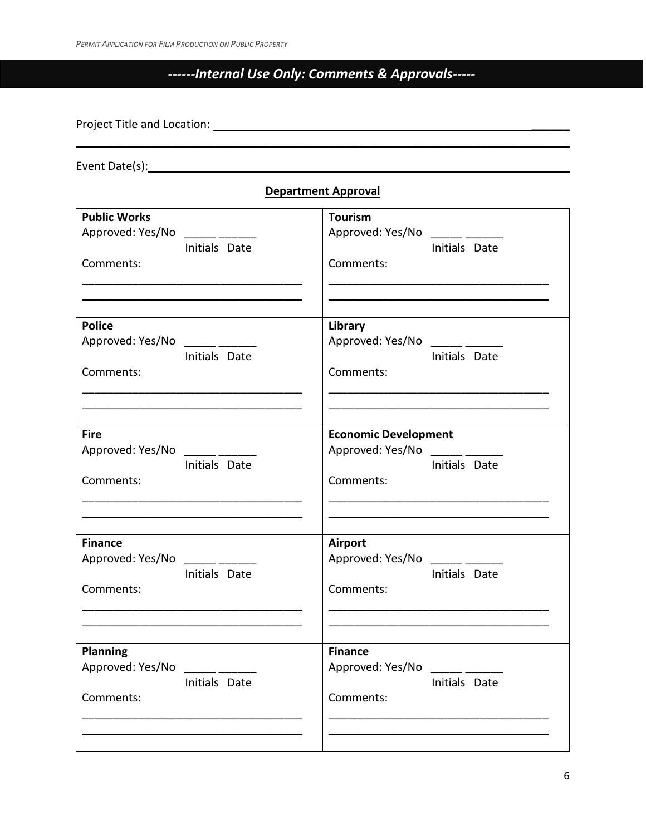# *------Internal Use Only: Comments & Approvals-----*

 $\mathcal{L}_\text{max}$  , and the contract of the contract of the contract of the contract of the contract of the contract of the contract of the contract of the contract of the contract of the contract of the contract of the contr

Project Title and Location: \_\_\_\_\_\_

Event Date(s):

| <b>Department Approval</b> |
|----------------------------|
|                            |

| <b>Public Works</b>                                                                                                                                                                                                                                                                                                                                                                                                   | <b>Tourism</b>                                                                                                                                                                                                                                                                                                                                                                                                                                                                                         |
|-----------------------------------------------------------------------------------------------------------------------------------------------------------------------------------------------------------------------------------------------------------------------------------------------------------------------------------------------------------------------------------------------------------------------|--------------------------------------------------------------------------------------------------------------------------------------------------------------------------------------------------------------------------------------------------------------------------------------------------------------------------------------------------------------------------------------------------------------------------------------------------------------------------------------------------------|
| Approved: Yes/No                                                                                                                                                                                                                                                                                                                                                                                                      | Approved: Yes/No                                                                                                                                                                                                                                                                                                                                                                                                                                                                                       |
| Initials Date                                                                                                                                                                                                                                                                                                                                                                                                         | Initials Date                                                                                                                                                                                                                                                                                                                                                                                                                                                                                          |
| Comments:                                                                                                                                                                                                                                                                                                                                                                                                             | Comments:                                                                                                                                                                                                                                                                                                                                                                                                                                                                                              |
| <b>Police</b>                                                                                                                                                                                                                                                                                                                                                                                                         | Library                                                                                                                                                                                                                                                                                                                                                                                                                                                                                                |
| Approved: Yes/No ______ ______                                                                                                                                                                                                                                                                                                                                                                                        | Approved: Yes/No ______ _____                                                                                                                                                                                                                                                                                                                                                                                                                                                                          |
| Initials Date                                                                                                                                                                                                                                                                                                                                                                                                         | Initials Date                                                                                                                                                                                                                                                                                                                                                                                                                                                                                          |
| Comments:                                                                                                                                                                                                                                                                                                                                                                                                             | Comments:                                                                                                                                                                                                                                                                                                                                                                                                                                                                                              |
| <b>Fire</b><br>Approved: Yes/No<br>Initials Date<br>Comments:                                                                                                                                                                                                                                                                                                                                                         | <b>Economic Development</b><br>Approved: Yes/No<br>$\frac{1}{1-\frac{1}{1-\frac{1}{1-\frac{1}{1-\frac{1}{1-\frac{1}{1-\frac{1}{1-\frac{1}{1-\frac{1}{1-\frac{1}{1-\frac{1}{1-\frac{1}{1-\frac{1}{1-\frac{1}{1-\frac{1}{1-\frac{1}{1-\frac{1}{1-\frac{1}{1-\frac{1}{1-\frac{1}{1-\frac{1}{1-\frac{1}{1-\frac{1}{1-\frac{1}{1-\frac{1}{1-\frac{1}{1-\frac{1}{1-\frac{1}{1-\frac{1}{1-\frac{1}{1-\frac{1}{1-\frac{1}{1-\frac{1}{1-\frac{1}{1-\frac{1}{1-\frac{1}{1-\frac{1$<br>Initials Date<br>Comments: |
| <b>Finance</b><br>Approved: Yes/No<br>$\overline{\phantom{a}}$<br>Initials Date<br>Comments:                                                                                                                                                                                                                                                                                                                          | <b>Airport</b><br>Approved: Yes/No<br>Initials Date<br>Comments:                                                                                                                                                                                                                                                                                                                                                                                                                                       |
| <b>Planning</b>                                                                                                                                                                                                                                                                                                                                                                                                       | <b>Finance</b>                                                                                                                                                                                                                                                                                                                                                                                                                                                                                         |
| Approved: Yes/No                                                                                                                                                                                                                                                                                                                                                                                                      | Approved: Yes/No                                                                                                                                                                                                                                                                                                                                                                                                                                                                                       |
| $\frac{1}{1-\frac{1}{1-\frac{1}{1-\frac{1}{1-\frac{1}{1-\frac{1}{1-\frac{1}{1-\frac{1}{1-\frac{1}{1-\frac{1}{1-\frac{1}{1-\frac{1}{1-\frac{1}{1-\frac{1}{1-\frac{1}{1-\frac{1}{1-\frac{1}{1-\frac{1}{1-\frac{1}{1-\frac{1}{1-\frac{1}{1-\frac{1}{1-\frac{1}{1-\frac{1}{1-\frac{1}{1-\frac{1}{1-\frac{1}{1-\frac{1}{1-\frac{1}{1-\frac{1}{1-\frac{1}{1-\frac{1}{1-\frac{1}{1-\frac{1}{1-\frac{1}{1-\frac{1}{1-\frac{1$ | $\overline{\phantom{a}}$                                                                                                                                                                                                                                                                                                                                                                                                                                                                               |
| Initials Date                                                                                                                                                                                                                                                                                                                                                                                                         | Initials Date                                                                                                                                                                                                                                                                                                                                                                                                                                                                                          |
| Comments:                                                                                                                                                                                                                                                                                                                                                                                                             | Comments:                                                                                                                                                                                                                                                                                                                                                                                                                                                                                              |